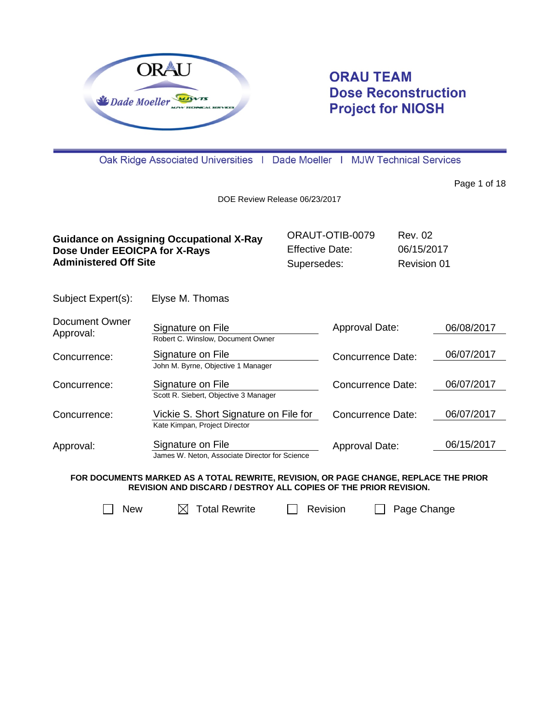

# **ORAU TEAM Dose Reconstruction Project for NIOSH**

Oak Ridge Associated Universities | Dade Moeller | MJW Technical Services

Page 1 of 18

DOE Review Release 06/23/2017

| <b>Guidance on Assigning Occupational X-Ray</b> | ORAUT-OTIB-0079        | Rev. 02     |
|-------------------------------------------------|------------------------|-------------|
| Dose Under EEOICPA for X-Rays                   | <b>Effective Date:</b> | 06/15/2017  |
| <b>Administered Off Site</b>                    | Supersedes:            | Revision 01 |

Subject Expert(s): Elyse M. Thomas

| Document Owner<br>Approval: | Signature on File                              | Approval Date:    | 06/08/2017 |
|-----------------------------|------------------------------------------------|-------------------|------------|
|                             | Robert C. Winslow, Document Owner              |                   |            |
| Concurrence:                | Signature on File                              | Concurrence Date: | 06/07/2017 |
|                             | John M. Byrne, Objective 1 Manager             |                   |            |
| Concurrence:                | Signature on File                              | Concurrence Date: | 06/07/2017 |
|                             | Scott R. Siebert, Objective 3 Manager          |                   |            |
| Concurrence:                | Vickie S. Short Signature on File for          | Concurrence Date: | 06/07/2017 |
|                             | Kate Kimpan, Project Director                  |                   |            |
| Approval:                   | Signature on File                              | Approval Date:    | 06/15/2017 |
|                             | James W. Neton, Associate Director for Science |                   |            |

**FOR DOCUMENTS MARKED AS A TOTAL REWRITE, REVISION, OR PAGE CHANGE, REPLACE THE PRIOR REVISION AND DISCARD / DESTROY ALL COPIES OF THE PRIOR REVISION.**

 $\Box$  New  $\Box$  Total Rewrite  $\Box$  Revision  $\Box$  Page Change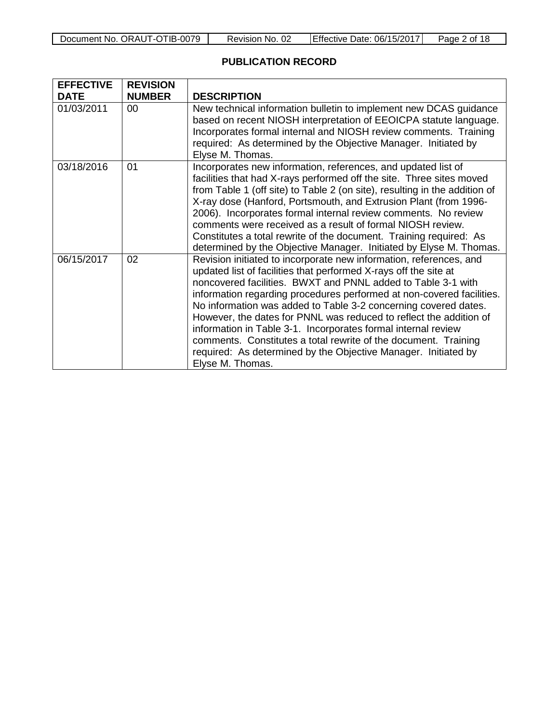| Document No. ORAUT-OTIB-0079 | Revision No. 02 | Effective Date: 06/15/2017 | Page 2 of 18 |
|------------------------------|-----------------|----------------------------|--------------|
|------------------------------|-----------------|----------------------------|--------------|

### **PUBLICATION RECORD**

| <b>EFFECTIVE</b> | <b>REVISION</b> |                                                                                                                                                                                                                                                                                                                                                                                                                                                                                                                                                                                                                                                    |
|------------------|-----------------|----------------------------------------------------------------------------------------------------------------------------------------------------------------------------------------------------------------------------------------------------------------------------------------------------------------------------------------------------------------------------------------------------------------------------------------------------------------------------------------------------------------------------------------------------------------------------------------------------------------------------------------------------|
| <b>DATE</b>      | <b>NUMBER</b>   | <b>DESCRIPTION</b>                                                                                                                                                                                                                                                                                                                                                                                                                                                                                                                                                                                                                                 |
| 01/03/2011       | 00              | New technical information bulletin to implement new DCAS guidance<br>based on recent NIOSH interpretation of EEOICPA statute language.<br>Incorporates formal internal and NIOSH review comments. Training<br>required: As determined by the Objective Manager. Initiated by<br>Elyse M. Thomas.                                                                                                                                                                                                                                                                                                                                                   |
| 03/18/2016       | 01              | Incorporates new information, references, and updated list of<br>facilities that had X-rays performed off the site. Three sites moved<br>from Table 1 (off site) to Table 2 (on site), resulting in the addition of<br>X-ray dose (Hanford, Portsmouth, and Extrusion Plant (from 1996-<br>2006). Incorporates formal internal review comments. No review<br>comments were received as a result of formal NIOSH review.<br>Constitutes a total rewrite of the document. Training required: As<br>determined by the Objective Manager. Initiated by Elyse M. Thomas.                                                                                |
| 06/15/2017       | 02              | Revision initiated to incorporate new information, references, and<br>updated list of facilities that performed X-rays off the site at<br>noncovered facilities. BWXT and PNNL added to Table 3-1 with<br>information regarding procedures performed at non-covered facilities.<br>No information was added to Table 3-2 concerning covered dates.<br>However, the dates for PNNL was reduced to reflect the addition of<br>information in Table 3-1. Incorporates formal internal review<br>comments. Constitutes a total rewrite of the document. Training<br>required: As determined by the Objective Manager. Initiated by<br>Elyse M. Thomas. |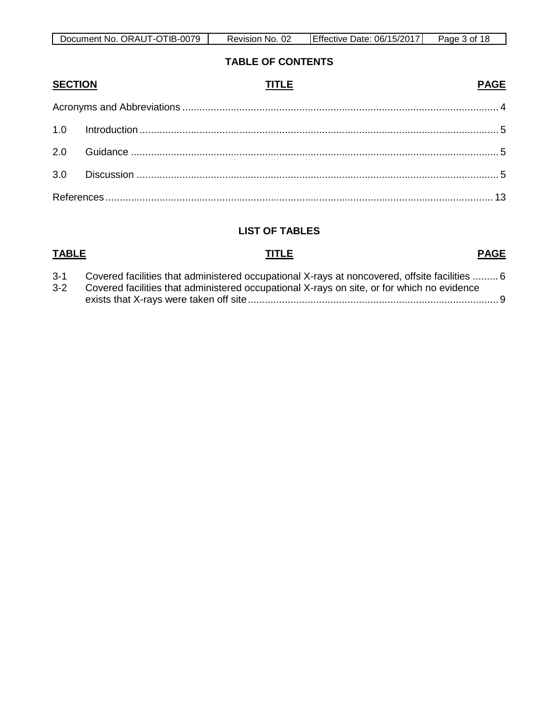| Document No. ORAUT-OTIB-0079 | -02<br>No.<br>Revision | Effective<br>Date: 06/15/2017 | Page<br>of 18 |
|------------------------------|------------------------|-------------------------------|---------------|

#### **TABLE OF CONTENTS**

| <b>SECTION</b> | <b>PAGE</b><br><b>TITLE</b> |  |
|----------------|-----------------------------|--|
|                |                             |  |
|                |                             |  |
|                |                             |  |
|                |                             |  |
|                |                             |  |

### **LIST OF TABLES**

## **TABLE TITLE PAGE** 3-1 [Covered facilities that administered occupational X-rays at noncovered, offsite facilities](#page-5-0) ......... 6 3-2 [Covered facilities that administered occupational X-rays on site, or for which no evidence](#page-8-0)  [exists that X-rays were taken off site........................................................................................ 9](#page-8-0)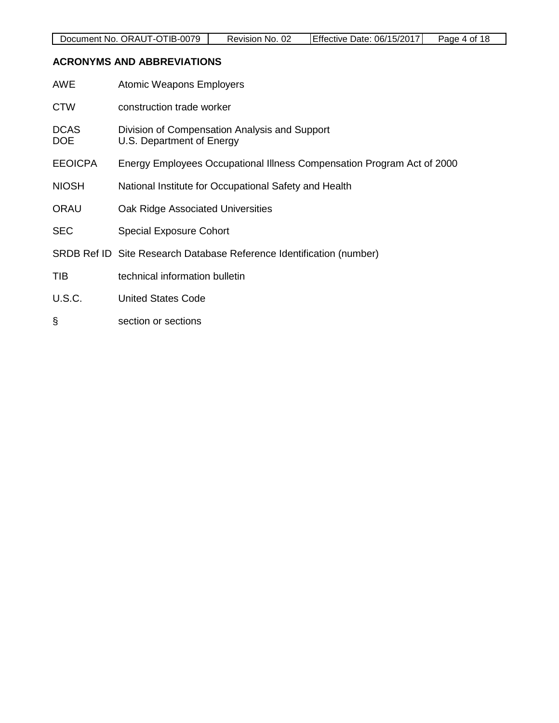### <span id="page-3-0"></span>**ACRONYMS AND ABBREVIATIONS**

| AWE                       | <b>Atomic Weapons Employers</b>                                            |
|---------------------------|----------------------------------------------------------------------------|
| <b>CTW</b>                | construction trade worker                                                  |
| <b>DCAS</b><br><b>DOE</b> | Division of Compensation Analysis and Support<br>U.S. Department of Energy |
| <b>EEOICPA</b>            | Energy Employees Occupational Illness Compensation Program Act of 2000     |
| <b>NIOSH</b>              | National Institute for Occupational Safety and Health                      |
| <b>ORAU</b>               | Oak Ridge Associated Universities                                          |
| <b>SEC</b>                | <b>Special Exposure Cohort</b>                                             |
|                           | SRDB Ref ID Site Research Database Reference Identification (number)       |
| <b>TIB</b>                | technical information bulletin                                             |
| U.S.C.                    | <b>United States Code</b>                                                  |
| ş                         | section or sections                                                        |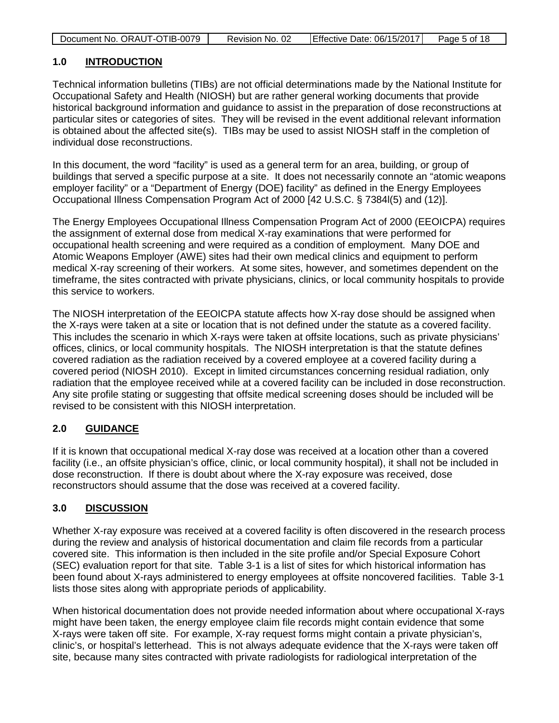| Document No. ORAUT-OTIB-0079 | Revision No. 02 | Effective Date: 06/15/2017 | Page 5 of 18 |
|------------------------------|-----------------|----------------------------|--------------|

### <span id="page-4-0"></span>**1.0 INTRODUCTION**

Technical information bulletins (TIBs) are not official determinations made by the National Institute for Occupational Safety and Health (NIOSH) but are rather general working documents that provide historical background information and guidance to assist in the preparation of dose reconstructions at particular sites or categories of sites. They will be revised in the event additional relevant information is obtained about the affected site(s). TIBs may be used to assist NIOSH staff in the completion of individual dose reconstructions.

In this document, the word "facility" is used as a general term for an area, building, or group of buildings that served a specific purpose at a site. It does not necessarily connote an "atomic weapons employer facility" or a "Department of Energy (DOE) facility" as defined in the Energy Employees Occupational Illness Compensation Program Act of 2000 [42 U.S.C. § 7384l(5) and (12)].

The Energy Employees Occupational Illness Compensation Program Act of 2000 (EEOICPA) requires the assignment of external dose from medical X-ray examinations that were performed for occupational health screening and were required as a condition of employment. Many DOE and Atomic Weapons Employer (AWE) sites had their own medical clinics and equipment to perform medical X-ray screening of their workers. At some sites, however, and sometimes dependent on the timeframe, the sites contracted with private physicians, clinics, or local community hospitals to provide this service to workers.

The NIOSH interpretation of the EEOICPA statute affects how X-ray dose should be assigned when the X-rays were taken at a site or location that is not defined under the statute as a covered facility. This includes the scenario in which X-rays were taken at offsite locations, such as private physicians' offices, clinics, or local community hospitals. The NIOSH interpretation is that the statute defines covered radiation as the radiation received by a covered employee at a covered facility during a covered period (NIOSH 2010). Except in limited circumstances concerning residual radiation, only radiation that the employee received while at a covered facility can be included in dose reconstruction. Any site profile stating or suggesting that offsite medical screening doses should be included will be revised to be consistent with this NIOSH interpretation.

### <span id="page-4-1"></span>**2.0 GUIDANCE**

If it is known that occupational medical X-ray dose was received at a location other than a covered facility (i.e., an offsite physician's office, clinic, or local community hospital), it shall not be included in dose reconstruction. If there is doubt about where the X-ray exposure was received, dose reconstructors should assume that the dose was received at a covered facility.

### <span id="page-4-2"></span>**3.0 DISCUSSION**

Whether X-ray exposure was received at a covered facility is often discovered in the research process during the review and analysis of historical documentation and claim file records from a particular covered site. This information is then included in the site profile and/or Special Exposure Cohort (SEC) evaluation report for that site. Table 3-1 is a list of sites for which historical information has been found about X-rays administered to energy employees at offsite noncovered facilities. Table 3-1 lists those sites along with appropriate periods of applicability.

When historical documentation does not provide needed information about where occupational X-rays might have been taken, the energy employee claim file records might contain evidence that some X-rays were taken off site. For example, X-ray request forms might contain a private physician's, clinic's, or hospital's letterhead. This is not always adequate evidence that the X-rays were taken off site, because many sites contracted with private radiologists for radiological interpretation of the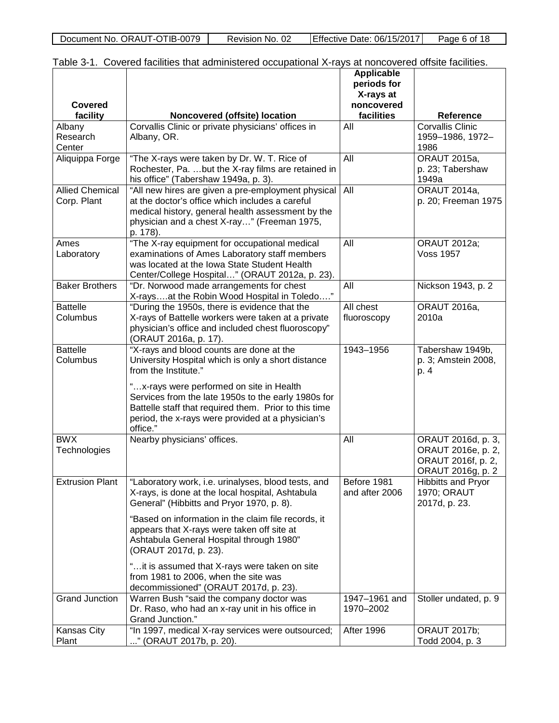| Document No. ORAUT-OTIB-0079 | Revision No. 02 | Effective Date: 06/15/2017 | Page 6 of 18 |
|------------------------------|-----------------|----------------------------|--------------|

|                        | Table 3-T. COVETED Tachmes that administered occupational A-rays at honcovered onsite facilities. |                   |                           |
|------------------------|---------------------------------------------------------------------------------------------------|-------------------|---------------------------|
|                        |                                                                                                   | <b>Applicable</b> |                           |
|                        |                                                                                                   | periods for       |                           |
|                        |                                                                                                   | X-rays at         |                           |
| <b>Covered</b>         |                                                                                                   | noncovered        |                           |
| facility               | Noncovered (offsite) location                                                                     | facilities        | Reference                 |
| Albany                 | Corvallis Clinic or private physicians' offices in                                                | All               | <b>Corvallis Clinic</b>   |
| Research               | Albany, OR.                                                                                       |                   | 1959-1986, 1972-          |
|                        |                                                                                                   |                   |                           |
| Center                 |                                                                                                   |                   | 1986                      |
| Aliquippa Forge        | "The X-rays were taken by Dr. W. T. Rice of                                                       | All               | <b>ORAUT 2015a,</b>       |
|                        | Rochester, Pa. but the X-ray films are retained in                                                |                   | p. 23; Tabershaw          |
|                        | his office" (Tabershaw 1949a, p. 3).                                                              |                   | 1949a                     |
| <b>Allied Chemical</b> | "All new hires are given a pre-employment physical                                                | All               | <b>ORAUT 2014a,</b>       |
| Corp. Plant            | at the doctor's office which includes a careful                                                   |                   | p. 20; Freeman 1975       |
|                        | medical history, general health assessment by the                                                 |                   |                           |
|                        | physician and a chest X-ray" (Freeman 1975,                                                       |                   |                           |
|                        | p. 178).                                                                                          |                   |                           |
| Ames                   | "The X-ray equipment for occupational medical                                                     | All               | <b>ORAUT 2012a;</b>       |
| Laboratory             | examinations of Ames Laboratory staff members                                                     |                   | <b>Voss 1957</b>          |
|                        | was located at the Iowa State Student Health                                                      |                   |                           |
|                        | Center/College Hospital" (ORAUT 2012a, p. 23).                                                    |                   |                           |
| <b>Baker Brothers</b>  | "Dr. Norwood made arrangements for chest                                                          | All               | Nickson 1943, p. 2        |
|                        | X-raysat the Robin Wood Hospital in Toledo"                                                       |                   |                           |
| <b>Battelle</b>        | "During the 1950s, there is evidence that the                                                     | All chest         | <b>ORAUT 2016a,</b>       |
| Columbus               |                                                                                                   |                   | 2010a                     |
|                        | X-rays of Battelle workers were taken at a private                                                | fluoroscopy       |                           |
|                        | physician's office and included chest fluoroscopy"                                                |                   |                           |
|                        | (ORAUT 2016a, p. 17).                                                                             |                   |                           |
| <b>Battelle</b>        | "X-rays and blood counts are done at the                                                          | 1943-1956         | Tabershaw 1949b,          |
| Columbus               | University Hospital which is only a short distance                                                |                   | p. 3; Amstein 2008,       |
|                        | from the Institute."                                                                              |                   | p. 4                      |
|                        | "x-rays were performed on site in Health                                                          |                   |                           |
|                        | Services from the late 1950s to the early 1980s for                                               |                   |                           |
|                        | Battelle staff that required them. Prior to this time                                             |                   |                           |
|                        | period, the x-rays were provided at a physician's                                                 |                   |                           |
|                        | office."                                                                                          |                   |                           |
| <b>BWX</b>             | Nearby physicians' offices.                                                                       | All               | ORAUT 2016d, p. 3,        |
|                        |                                                                                                   |                   | ORAUT 2016e, p. 2,        |
| Technologies           |                                                                                                   |                   |                           |
|                        |                                                                                                   |                   | ORAUT 2016f, p. 2,        |
|                        |                                                                                                   |                   | ORAUT 2016g, p. 2         |
| <b>Extrusion Plant</b> | "Laboratory work, i.e. urinalyses, blood tests, and                                               | Before 1981       | <b>Hibbitts and Pryor</b> |
|                        | X-rays, is done at the local hospital, Ashtabula                                                  | and after 2006    | 1970; ORAUT               |
|                        | General" (Hibbitts and Pryor 1970, p. 8).                                                         |                   | 2017d, p. 23.             |
|                        | "Based on information in the claim file records, it                                               |                   |                           |
|                        | appears that X-rays were taken off site at                                                        |                   |                           |
|                        | Ashtabula General Hospital through 1980"                                                          |                   |                           |
|                        | (ORAUT 2017d, p. 23).                                                                             |                   |                           |
|                        |                                                                                                   |                   |                           |
|                        | "it is assumed that X-rays were taken on site                                                     |                   |                           |
|                        | from 1981 to 2006, when the site was                                                              |                   |                           |
|                        | decommissioned" (ORAUT 2017d, p. 23).                                                             |                   |                           |
| <b>Grand Junction</b>  | Warren Bush "said the company doctor was                                                          | 1947-1961 and     | Stoller undated, p. 9     |
|                        | Dr. Raso, who had an x-ray unit in his office in                                                  | 1970-2002         |                           |
|                        | Grand Junction."                                                                                  |                   |                           |
| Kansas City            | "In 1997, medical X-ray services were outsourced;                                                 | After 1996        | <b>ORAUT 2017b;</b>       |
| Plant                  | " (ORAUT 2017b, p. 20).                                                                           |                   | Todd 2004, p. 3           |

<span id="page-5-0"></span>

| Table 3-1. Covered facilities that administered occupational X-rays at noncovered offsite facilities. |  |
|-------------------------------------------------------------------------------------------------------|--|
|-------------------------------------------------------------------------------------------------------|--|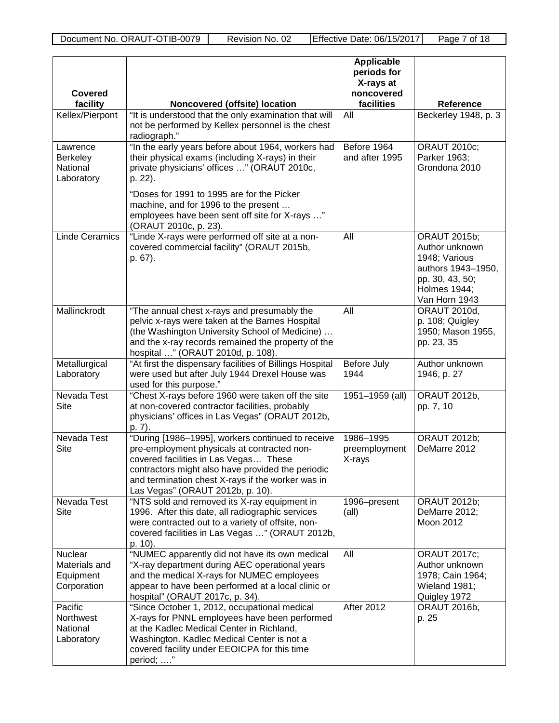| <b>Covered</b><br>facility                            | Noncovered (offsite) location                                                                                                                                                                                                                                                                                                     | Applicable<br>periods for<br>X-rays at<br>noncovered<br>facilities | <b>Reference</b>                                                                                                                        |
|-------------------------------------------------------|-----------------------------------------------------------------------------------------------------------------------------------------------------------------------------------------------------------------------------------------------------------------------------------------------------------------------------------|--------------------------------------------------------------------|-----------------------------------------------------------------------------------------------------------------------------------------|
| Kellex/Pierpont                                       | "It is understood that the only examination that will<br>not be performed by Kellex personnel is the chest<br>radiograph."                                                                                                                                                                                                        | All                                                                | Beckerley 1948, p. 3                                                                                                                    |
| Lawrence<br><b>Berkeley</b><br>National<br>Laboratory | "In the early years before about 1964, workers had<br>their physical exams (including X-rays) in their<br>private physicians' offices " (ORAUT 2010c,<br>p. 22).<br>"Doses for 1991 to 1995 are for the Picker<br>machine, and for 1996 to the present<br>employees have been sent off site for X-rays "<br>(ORAUT 2010c, p. 23). | Before 1964<br>and after 1995                                      | <b>ORAUT 2010c;</b><br>Parker 1963;<br>Grondona 2010                                                                                    |
| <b>Linde Ceramics</b>                                 | "Linde X-rays were performed off site at a non-<br>covered commercial facility" (ORAUT 2015b,<br>p. 67).                                                                                                                                                                                                                          | All                                                                | <b>ORAUT 2015b;</b><br>Author unknown<br>1948; Various<br>authors 1943-1950,<br>pp. 30, 43, 50;<br><b>Holmes 1944;</b><br>Van Horn 1943 |
| Mallinckrodt                                          | "The annual chest x-rays and presumably the<br>pelvic x-rays were taken at the Barnes Hospital<br>(the Washington University School of Medicine)<br>and the x-ray records remained the property of the<br>hospital " (ORAUT 2010d, p. 108).                                                                                       | All                                                                | <b>ORAUT 2010d,</b><br>p. 108; Quigley<br>1950; Mason 1955,<br>pp. 23, 35                                                               |
| Metallurgical<br>Laboratory                           | "At first the dispensary facilities of Billings Hospital<br>were used but after July 1944 Drexel House was<br>used for this purpose."                                                                                                                                                                                             | Before July<br>1944                                                | Author unknown<br>1946, p. 27                                                                                                           |
| Nevada Test<br>Site                                   | "Chest X-rays before 1960 were taken off the site<br>at non-covered contractor facilities, probably<br>physicians' offices in Las Vegas" (ORAUT 2012b,<br>p. 7).                                                                                                                                                                  | 1951-1959 (all)                                                    | ORAUT 2012b,<br>pp. 7, 10                                                                                                               |
| Nevada Test<br>Site                                   | "During [1986-1995], workers continued to receive<br>pre-employment physicals at contracted non-<br>covered facilities in Las Vegas These<br>contractors might also have provided the periodic<br>and termination chest X-rays if the worker was in<br>Las Vegas" (ORAUT 2012b, p. 10).                                           | 1986-1995<br>preemployment<br>X-rays                               | <b>ORAUT 2012b;</b><br>DeMarre 2012                                                                                                     |
| Nevada Test<br><b>Site</b>                            | "NTS sold and removed its X-ray equipment in<br>1996. After this date, all radiographic services<br>were contracted out to a variety of offsite, non-<br>covered facilities in Las Vegas " (ORAUT 2012b,<br>p. 10).                                                                                                               | 1996-present<br>$(\text{all})$                                     | <b>ORAUT 2012b;</b><br>DeMarre 2012;<br>Moon 2012                                                                                       |
| Nuclear<br>Materials and<br>Equipment<br>Corporation  | "NUMEC apparently did not have its own medical<br>"X-ray department during AEC operational years<br>and the medical X-rays for NUMEC employees<br>appear to have been performed at a local clinic or<br>hospital" (ORAUT 2017c, p. 34).                                                                                           | All                                                                | <b>ORAUT 2017c;</b><br>Author unknown<br>1978; Cain 1964;<br>Wieland 1981;<br>Quigley 1972                                              |
| Pacific<br>Northwest<br>National<br>Laboratory        | "Since October 1, 2012, occupational medical<br>X-rays for PNNL employees have been performed<br>at the Kadlec Medical Center in Richland,<br>Washington. Kadlec Medical Center is not a<br>covered facility under EEOICPA for this time<br>period; "                                                                             | <b>After 2012</b>                                                  | ORAUT 2016b,<br>p. 25                                                                                                                   |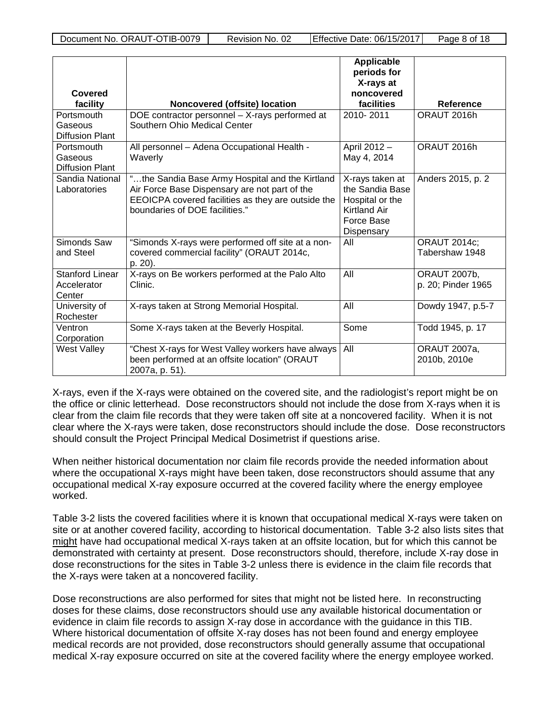|                                 |                                                                                                  | <b>Applicable</b><br>periods for   |                     |
|---------------------------------|--------------------------------------------------------------------------------------------------|------------------------------------|---------------------|
|                                 |                                                                                                  | X-rays at                          |                     |
| Covered                         |                                                                                                  | noncovered                         |                     |
| facility                        | Noncovered (offsite) location                                                                    | facilities                         | <b>Reference</b>    |
| Portsmouth                      | DOE contractor personnel - X-rays performed at                                                   | 2010-2011                          | ORAUT 2016h         |
| Gaseous                         | Southern Ohio Medical Center                                                                     |                                    |                     |
| <b>Diffusion Plant</b>          |                                                                                                  |                                    |                     |
| Portsmouth                      | All personnel - Adena Occupational Health -                                                      | April 2012 -                       | ORAUT 2016h         |
| Gaseous                         | Waverly                                                                                          | May 4, 2014                        |                     |
| <b>Diffusion Plant</b>          |                                                                                                  |                                    |                     |
| Sandia National<br>Laboratories | "the Sandia Base Army Hospital and the Kirtland<br>Air Force Base Dispensary are not part of the | X-rays taken at<br>the Sandia Base | Anders 2015, p. 2   |
|                                 | EEOICPA covered facilities as they are outside the                                               | Hospital or the                    |                     |
|                                 | boundaries of DOE facilities."                                                                   | <b>Kirtland Air</b>                |                     |
|                                 |                                                                                                  | Force Base                         |                     |
|                                 |                                                                                                  | Dispensary                         |                     |
| Simonds Saw                     | "Simonds X-rays were performed off site at a non-                                                | All                                | <b>ORAUT 2014c;</b> |
| and Steel                       | covered commercial facility" (ORAUT 2014c,                                                       |                                    | Tabershaw 1948      |
|                                 | p. 20).                                                                                          |                                    |                     |
| <b>Stanford Linear</b>          | X-rays on Be workers performed at the Palo Alto                                                  | All                                | ORAUT 2007b,        |
| Accelerator                     | Clinic.                                                                                          |                                    | p. 20; Pinder 1965  |
| Center                          |                                                                                                  |                                    |                     |
| University of                   | X-rays taken at Strong Memorial Hospital.                                                        | All                                | Dowdy 1947, p.5-7   |
| Rochester                       |                                                                                                  |                                    |                     |
| Ventron                         | Some X-rays taken at the Beverly Hospital.                                                       | Some                               | Todd 1945, p. 17    |
| Corporation                     |                                                                                                  |                                    |                     |
| West Valley                     | "Chest X-rays for West Valley workers have always                                                | All                                | <b>ORAUT 2007a,</b> |
|                                 | been performed at an offsite location" (ORAUT                                                    |                                    | 2010b, 2010e        |
|                                 | 2007a, p. 51).                                                                                   |                                    |                     |

X-rays, even if the X-rays were obtained on the covered site, and the radiologist's report might be on the office or clinic letterhead. Dose reconstructors should not include the dose from X-rays when it is clear from the claim file records that they were taken off site at a noncovered facility. When it is not clear where the X-rays were taken, dose reconstructors should include the dose. Dose reconstructors should consult the Project Principal Medical Dosimetrist if questions arise.

When neither historical documentation nor claim file records provide the needed information about where the occupational X-rays might have been taken, dose reconstructors should assume that any occupational medical X-ray exposure occurred at the covered facility where the energy employee worked.

Table 3-2 lists the covered facilities where it is known that occupational medical X-rays were taken on site or at another covered facility, according to historical documentation. Table 3-2 also lists sites that might have had occupational medical X-rays taken at an offsite location, but for which this cannot be demonstrated with certainty at present. Dose reconstructors should, therefore, include X-ray dose in dose reconstructions for the sites in Table 3-2 unless there is evidence in the claim file records that the X-rays were taken at a noncovered facility.

Dose reconstructions are also performed for sites that might not be listed here. In reconstructing doses for these claims, dose reconstructors should use any available historical documentation or evidence in claim file records to assign X-ray dose in accordance with the guidance in this TIB. Where historical documentation of offsite X-ray doses has not been found and energy employee medical records are not provided, dose reconstructors should generally assume that occupational medical X-ray exposure occurred on site at the covered facility where the energy employee worked.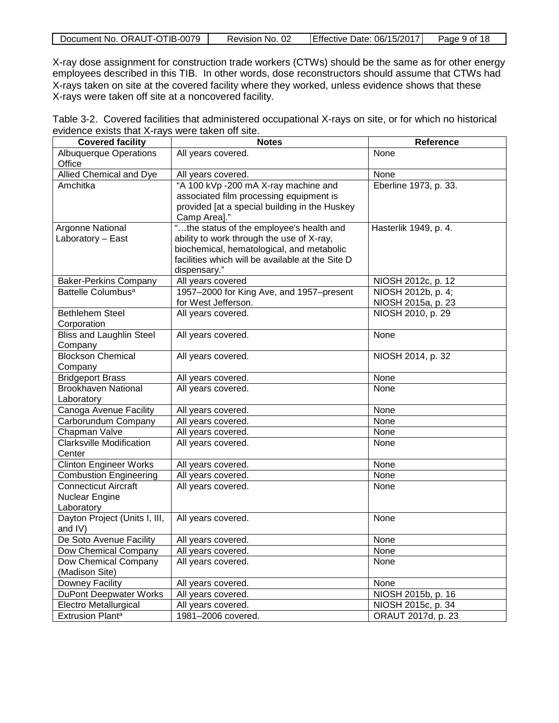| . ORAUT-OTIB-0079 | 02           | J Date: 06/15/2017 | of 18  |
|-------------------|--------------|--------------------|--------|
| Document No.      | Revision No. | ⊺Effective         | Page 9 |

X-ray dose assignment for construction trade workers (CTWs) should be the same as for other energy employees described in this TIB. In other words, dose reconstructors should assume that CTWs had X-rays taken on site at the covered facility where they worked, unless evidence shows that these X-rays were taken off site at a noncovered facility.

<span id="page-8-0"></span>

|                                                  | Table 3-2. Covered facilities that administered occupational X-rays on site, or for which no historical |  |
|--------------------------------------------------|---------------------------------------------------------------------------------------------------------|--|
| evidence exists that X-rays were taken off site. |                                                                                                         |  |
| $\sim$ $\sim$ $\sim$ $\sim$ $\sim$ $\sim$ $\sim$ |                                                                                                         |  |

| <b>Covered facility</b>                               | <b>Notes</b>                                     | Reference             |
|-------------------------------------------------------|--------------------------------------------------|-----------------------|
| <b>Albuquerque Operations</b>                         | All years covered.                               | None                  |
| Office                                                |                                                  |                       |
| <b>Allied Chemical and Dye</b>                        | All years covered.                               | None                  |
| Amchitka                                              | "A 100 kVp -200 mA X-ray machine and             | Eberline 1973, p. 33. |
|                                                       | associated film processing equipment is          |                       |
|                                                       | provided [at a special building in the Huskey    |                       |
|                                                       | Camp Area]."                                     |                       |
| Argonne National                                      | "the status of the employee's health and         | Hasterlik 1949, p. 4. |
| Laboratory - East                                     | ability to work through the use of X-ray,        |                       |
|                                                       | biochemical, hematological, and metabolic        |                       |
|                                                       | facilities which will be available at the Site D |                       |
|                                                       | dispensary."                                     |                       |
| <b>Baker-Perkins Company</b>                          | All years covered                                | NIOSH 2012c, p. 12    |
| Battelle Columbus <sup>a</sup>                        | 1957-2000 for King Ave, and 1957-present         | NIOSH 2012b, p. 4;    |
|                                                       | for West Jefferson.                              | NIOSH 2015a, p. 23    |
| <b>Bethlehem Steel</b>                                | All years covered.                               | NIOSH 2010, p. 29     |
| Corporation                                           |                                                  |                       |
| <b>Bliss and Laughlin Steel</b>                       | All years covered.                               | None                  |
| Company                                               |                                                  |                       |
| <b>Blockson Chemical</b>                              | All years covered.                               | NIOSH 2014, p. 32     |
| Company                                               |                                                  |                       |
| <b>Bridgeport Brass</b><br><b>Brookhaven National</b> | All years covered.<br>All years covered.         | None<br>None          |
| Laboratory                                            |                                                  |                       |
| Canoga Avenue Facility                                | All years covered.                               | None                  |
| Carborundum Company                                   | All years covered.                               | None                  |
| Chapman Valve                                         | All years covered.                               | None                  |
| <b>Clarksville Modification</b>                       | All years covered.                               | None                  |
| Center                                                |                                                  |                       |
| <b>Clinton Engineer Works</b>                         | All years covered.                               | None                  |
| <b>Combustion Engineering</b>                         | All years covered.                               | None                  |
| <b>Connecticut Aircraft</b>                           | All years covered.                               | None                  |
| Nuclear Engine                                        |                                                  |                       |
| Laboratory                                            |                                                  |                       |
| Dayton Project (Units I, III,                         | All years covered.                               | None                  |
| and IV)                                               |                                                  |                       |
| De Soto Avenue Facility                               | All years covered.                               | None                  |
| <b>Dow Chemical Company</b>                           | All years covered.                               | None                  |
| Dow Chemical Company                                  | All years covered.                               | None                  |
| (Madison Site)                                        |                                                  |                       |
| Downey Facility                                       | All years covered.                               | None                  |
| <b>DuPont Deepwater Works</b>                         | All years covered.                               | NIOSH 2015b, p. 16    |
| Electro Metallurgical                                 | All years covered.                               | NIOSH 2015c, p. 34    |
| Extrusion Plant <sup>a</sup>                          | 1981-2006 covered.                               | ORAUT 2017d, p. 23    |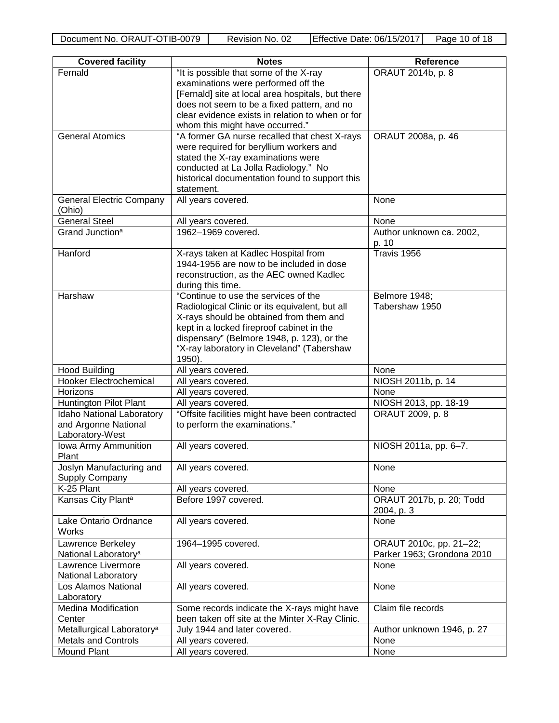| <b>Covered facility</b>               | <b>Notes</b>                                      | <b>Reference</b>                 |
|---------------------------------------|---------------------------------------------------|----------------------------------|
| Fernald                               | "It is possible that some of the X-ray            | ORAUT 2014b, p. 8                |
|                                       | examinations were performed off the               |                                  |
|                                       | [Fernald] site at local area hospitals, but there |                                  |
|                                       | does not seem to be a fixed pattern, and no       |                                  |
|                                       | clear evidence exists in relation to when or for  |                                  |
|                                       | whom this might have occurred."                   |                                  |
| <b>General Atomics</b>                | "A former GA nurse recalled that chest X-rays     | ORAUT 2008a, p. 46               |
|                                       | were required for beryllium workers and           |                                  |
|                                       | stated the X-ray examinations were                |                                  |
|                                       | conducted at La Jolla Radiology." No              |                                  |
|                                       | historical documentation found to support this    |                                  |
|                                       | statement.                                        |                                  |
| <b>General Electric Company</b>       | All years covered.                                | None                             |
| (Ohio)<br><b>General Steel</b>        |                                                   |                                  |
| Grand Junction <sup>a</sup>           | All years covered.<br>1962-1969 covered.          | None<br>Author unknown ca. 2002, |
|                                       |                                                   | p. 10                            |
| Hanford                               | X-rays taken at Kadlec Hospital from              | Travis 1956                      |
|                                       | 1944-1956 are now to be included in dose          |                                  |
|                                       | reconstruction, as the AEC owned Kadlec           |                                  |
|                                       | during this time.                                 |                                  |
| Harshaw                               | "Continue to use the services of the              | Belmore 1948;                    |
|                                       | Radiological Clinic or its equivalent, but all    | Tabershaw 1950                   |
|                                       | X-rays should be obtained from them and           |                                  |
|                                       | kept in a locked fireproof cabinet in the         |                                  |
|                                       | dispensary" (Belmore 1948, p. 123), or the        |                                  |
|                                       | "X-ray laboratory in Cleveland" (Tabershaw        |                                  |
|                                       | 1950).                                            |                                  |
| <b>Hood Building</b>                  | All years covered.                                | None                             |
| <b>Hooker Electrochemical</b>         | All years covered.                                | NIOSH 2011b, p. 14               |
| Horizons                              | All years covered.                                | None                             |
| Huntington Pilot Plant                | All years covered.                                | NIOSH 2013, pp. 18-19            |
| Idaho National Laboratory             | "Offsite facilities might have been contracted    | ORAUT 2009, p. 8                 |
| and Argonne National                  | to perform the examinations."                     |                                  |
| Laboratory-West                       |                                                   |                                  |
| Iowa Army Ammunition                  | All years covered.                                | NIOSH 2011a, pp. 6-7.            |
| Plant                                 |                                                   |                                  |
| Joslyn Manufacturing and              | All years covered.                                | None                             |
| <b>Supply Company</b>                 |                                                   |                                  |
| K-25 Plant                            | All years covered.                                | None                             |
| Kansas City Plant <sup>a</sup>        | Before 1997 covered.                              | ORAUT 2017b, p. 20; Todd         |
|                                       |                                                   | 2004, p. 3                       |
| Lake Ontario Ordnance                 | All years covered.                                | None                             |
| Works                                 |                                                   |                                  |
| Lawrence Berkeley                     | 1964-1995 covered.                                | ORAUT 2010c, pp. 21-22;          |
| National Laboratory <sup>a</sup>      |                                                   | Parker 1963; Grondona 2010       |
| Lawrence Livermore                    | All years covered.                                | None                             |
| National Laboratory                   |                                                   |                                  |
| Los Alamos National                   | All years covered.                                | None                             |
| Laboratory                            |                                                   |                                  |
| <b>Medina Modification</b>            | Some records indicate the X-rays might have       | Claim file records               |
| Center                                | been taken off site at the Minter X-Ray Clinic.   |                                  |
| Metallurgical Laboratory <sup>a</sup> | July 1944 and later covered.                      | Author unknown 1946, p. 27       |
| <b>Metals and Controls</b>            | All years covered.                                | None                             |
| Mound Plant                           | All years covered.                                | None                             |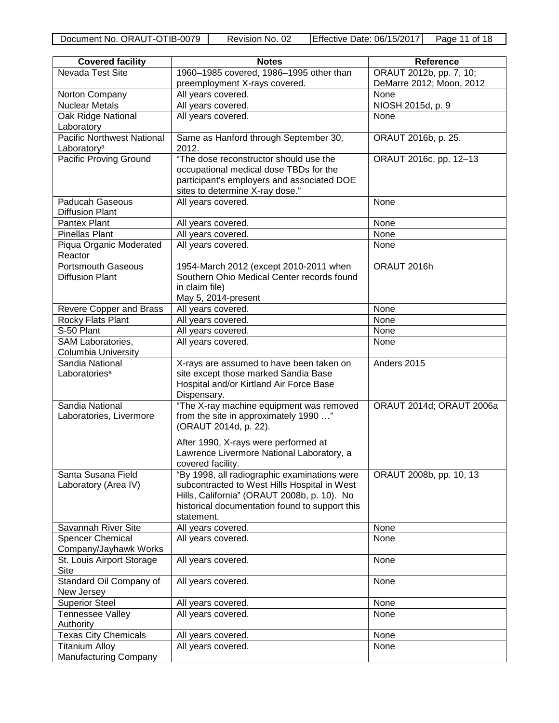| <b>Covered facility</b>                               | <b>Notes</b>                                                                                                                                                                                                | Reference                |
|-------------------------------------------------------|-------------------------------------------------------------------------------------------------------------------------------------------------------------------------------------------------------------|--------------------------|
| Nevada Test Site                                      | 1960-1985 covered, 1986-1995 other than                                                                                                                                                                     | ORAUT 2012b, pp. 7, 10;  |
|                                                       | preemployment X-rays covered.                                                                                                                                                                               | DeMarre 2012; Moon, 2012 |
| Norton Company                                        | All years covered.                                                                                                                                                                                          | None                     |
| <b>Nuclear Metals</b>                                 | All years covered.                                                                                                                                                                                          | NIOSH 2015d, p. 9        |
| Oak Ridge National<br>Laboratory                      | All years covered.                                                                                                                                                                                          | None                     |
| Pacific Northwest National<br>Laboratory <sup>a</sup> | Same as Hanford through September 30,<br>2012.                                                                                                                                                              | ORAUT 2016b, p. 25.      |
| Pacific Proving Ground                                | "The dose reconstructor should use the<br>occupational medical dose TBDs for the<br>participant's employers and associated DOE<br>sites to determine X-ray dose."                                           | ORAUT 2016c, pp. 12-13   |
| <b>Paducah Gaseous</b><br><b>Diffusion Plant</b>      | All years covered.                                                                                                                                                                                          | None                     |
| Pantex Plant                                          | All years covered.                                                                                                                                                                                          | None                     |
| <b>Pinellas Plant</b>                                 | All years covered.                                                                                                                                                                                          | None                     |
| Piqua Organic Moderated<br>Reactor                    | All years covered.                                                                                                                                                                                          | None                     |
| <b>Portsmouth Gaseous</b><br><b>Diffusion Plant</b>   | 1954-March 2012 (except 2010-2011 when<br>Southern Ohio Medical Center records found<br>in claim file)<br>May 5, 2014-present                                                                               | ORAUT 2016h              |
| Revere Copper and Brass                               | All years covered.                                                                                                                                                                                          | None                     |
| Rocky Flats Plant                                     | All years covered.                                                                                                                                                                                          | None                     |
| S-50 Plant                                            | All years covered.                                                                                                                                                                                          | None                     |
| SAM Laboratories,<br><b>Columbia University</b>       | All years covered.                                                                                                                                                                                          | None                     |
| Sandia National<br>Laboratories <sup>a</sup>          | X-rays are assumed to have been taken on<br>site except those marked Sandia Base<br>Hospital and/or Kirtland Air Force Base<br>Dispensary.                                                                  | Anders 2015              |
| Sandia National<br>Laboratories, Livermore            | "The X-ray machine equipment was removed<br>from the site in approximately 1990 "<br>(ORAUT 2014d, p. 22).                                                                                                  | ORAUT 2014d; ORAUT 2006a |
|                                                       | After 1990, X-rays were performed at<br>Lawrence Livermore National Laboratory, a<br>covered facility.                                                                                                      |                          |
| Santa Susana Field<br>Laboratory (Area IV)            | "By 1998, all radiographic examinations were<br>subcontracted to West Hills Hospital in West<br>Hills, California" (ORAUT 2008b, p. 10). No<br>historical documentation found to support this<br>statement. | ORAUT 2008b, pp. 10, 13  |
| Savannah River Site                                   | All years covered.                                                                                                                                                                                          | None                     |
| <b>Spencer Chemical</b><br>Company/Jayhawk Works      | All years covered.                                                                                                                                                                                          | None                     |
| St. Louis Airport Storage<br>Site                     | All years covered.                                                                                                                                                                                          | None                     |
| Standard Oil Company of<br>New Jersey                 | All years covered.                                                                                                                                                                                          | None                     |
| <b>Superior Steel</b>                                 | All years covered.                                                                                                                                                                                          | None                     |
| Tennessee Valley<br>Authority                         | All years covered.                                                                                                                                                                                          | None                     |
| <b>Texas City Chemicals</b>                           | All years covered.                                                                                                                                                                                          | None                     |
| <b>Titanium Alloy</b><br><b>Manufacturing Company</b> | All years covered.                                                                                                                                                                                          | None                     |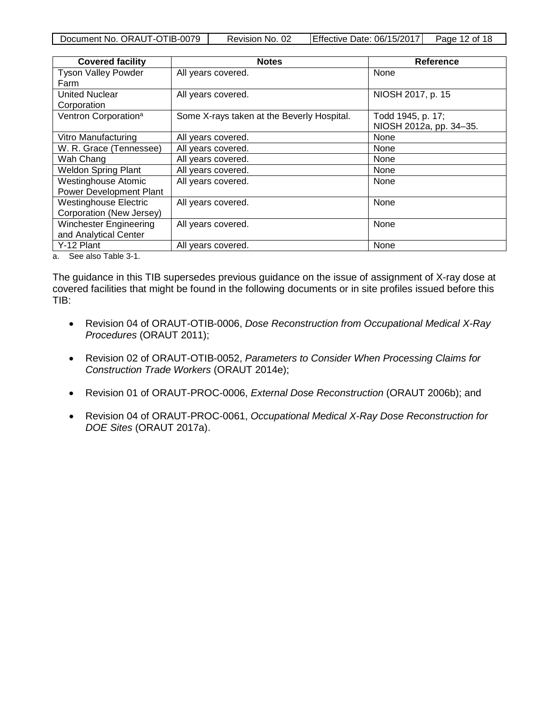| Document No. ORAUT-OTIB-0079 | Revision No. 02 | Effective Date: 06/15/2017 | Page 12 of 18 |
|------------------------------|-----------------|----------------------------|---------------|

| All years covered.                         | None                    |
|--------------------------------------------|-------------------------|
|                                            |                         |
|                                            |                         |
| All years covered.                         | NIOSH 2017, p. 15       |
|                                            |                         |
| Some X-rays taken at the Beverly Hospital. | Todd 1945, p. 17;       |
|                                            | NIOSH 2012a, pp. 34-35. |
| All years covered.                         | None                    |
| All years covered.                         | None                    |
| All years covered.                         | None                    |
| All years covered.                         | None                    |
| All years covered.                         | None                    |
|                                            |                         |
| All years covered.                         | None                    |
|                                            |                         |
| All years covered.                         | None                    |
|                                            |                         |
| All years covered.                         | None                    |
|                                            |                         |

a. See also Table 3-1.

The guidance in this TIB supersedes previous guidance on the issue of assignment of X-ray dose at covered facilities that might be found in the following documents or in site profiles issued before this TIB:

- Revision 04 of ORAUT-OTIB-0006, *Dose Reconstruction from Occupational Medical X-Ray Procedures* (ORAUT 2011);
- Revision 02 of ORAUT-OTIB-0052, *Parameters to Consider When Processing Claims for Construction Trade Workers* (ORAUT 2014e);
- Revision 01 of ORAUT-PROC-0006, *External Dose Reconstruction* (ORAUT 2006b); and
- Revision 04 of ORAUT-PROC-0061, *Occupational Medical X-Ray Dose Reconstruction for DOE Sites* (ORAUT 2017a).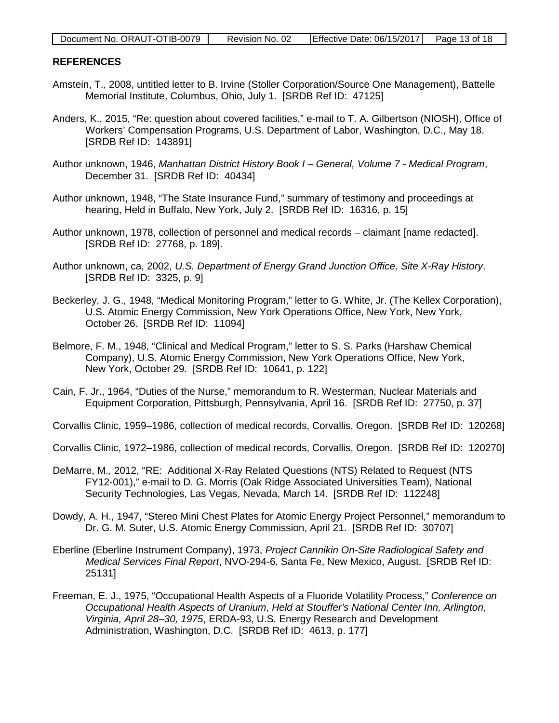| Document No. ORAUT-OTIB-0079 | Revision No. 02 | Effective Date: $06/15/2017$ Page 13 of 18 |  |
|------------------------------|-----------------|--------------------------------------------|--|

#### <span id="page-12-0"></span>**REFERENCES**

- Amstein, T., 2008, untitled letter to B. Irvine (Stoller Corporation/Source One Management), Battelle Memorial Institute, Columbus, Ohio, July 1. [SRDB Ref ID: 47125]
- Anders, K., 2015, "Re: question about covered facilities," e-mail to T. A. Gilbertson (NIOSH), Office of Workers' Compensation Programs, U.S. Department of Labor, Washington, D.C., May 18. [SRDB Ref ID: 143891]
- Author unknown, 1946, *Manhattan District History Book I General, Volume 7 Medical Program*, December 31. [SRDB Ref ID: 40434]
- Author unknown, 1948, "The State Insurance Fund," summary of testimony and proceedings at hearing, Held in Buffalo, New York, July 2. [SRDB Ref ID: 16316, p. 15]
- Author unknown, 1978, collection of personnel and medical records claimant [name redacted]. [SRDB Ref ID: 27768, p. 189].
- Author unknown, ca, 2002, *U.S. Department of Energy Grand Junction Office, Site X-Ray History*. [SRDB Ref ID: 3325, p. 9]
- Beckerley, J. G., 1948, "Medical Monitoring Program," letter to G. White, Jr. (The Kellex Corporation), U.S. Atomic Energy Commission, New York Operations Office, New York, New York, October 26. [SRDB Ref ID: 11094]
- Belmore, F. M., 1948, "Clinical and Medical Program," letter to S. S. Parks (Harshaw Chemical Company), U.S. Atomic Energy Commission, New York Operations Office, New York, New York, October 29. [SRDB Ref ID: 10641, p. 122]
- Cain, F. Jr., 1964, "Duties of the Nurse," memorandum to R. Westerman, Nuclear Materials and Equipment Corporation, Pittsburgh, Pennsylvania, April 16. [SRDB Ref ID: 27750, p. 37]

Corvallis Clinic, 1959–1986, collection of medical records, Corvallis, Oregon. [SRDB Ref ID: 120268]

- Corvallis Clinic, 1972–1986, collection of medical records, Corvallis, Oregon. [SRDB Ref ID: 120270]
- DeMarre, M., 2012, "RE: Additional X-Ray Related Questions (NTS) Related to Request (NTS FY12-001)," e-mail to D. G. Morris (Oak Ridge Associated Universities Team), National Security Technologies, Las Vegas, Nevada, March 14. [SRDB Ref ID: 112248]
- Dowdy, A. H., 1947, "Stereo Mini Chest Plates for Atomic Energy Project Personnel," memorandum to Dr. G. M. Suter, U.S. Atomic Energy Commission, April 21. [SRDB Ref ID: 30707]
- Eberline (Eberline Instrument Company), 1973, *Project Cannikin On-Site Radiological Safety and Medical Services Final Report*, NVO-294-6, Santa Fe, New Mexico, August. [SRDB Ref ID: 25131]
- Freeman, E. J., 1975, "Occupational Health Aspects of a Fluoride Volatility Process," *Conference on Occupational Health Aspects of Uranium*, *Held at Stouffer's National Center Inn, Arlington, Virginia, April 28–30, 1975*, ERDA-93, U.S. Energy Research and Development Administration, Washington, D.C. [SRDB Ref ID: 4613, p. 177]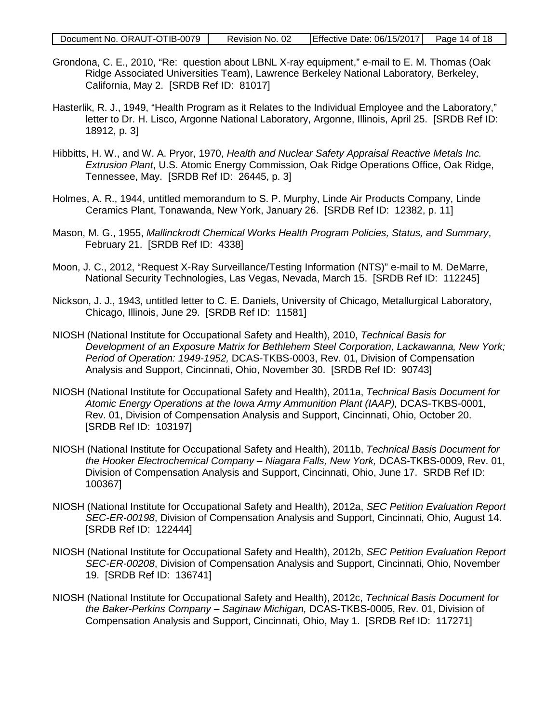- Grondona, C. E., 2010, "Re: question about LBNL X-ray equipment," e-mail to E. M. Thomas (Oak Ridge Associated Universities Team), Lawrence Berkeley National Laboratory, Berkeley, California, May 2. [SRDB Ref ID: 81017]
- Hasterlik, R. J., 1949, "Health Program as it Relates to the Individual Employee and the Laboratory," letter to Dr. H. Lisco, Argonne National Laboratory, Argonne, Illinois, April 25. [SRDB Ref ID: 18912, p. 3]
- Hibbitts, H. W., and W. A. Pryor, 1970, *Health and Nuclear Safety Appraisal Reactive Metals Inc. Extrusion Plant*, U.S. Atomic Energy Commission, Oak Ridge Operations Office, Oak Ridge, Tennessee, May. [SRDB Ref ID: 26445, p. 3]
- Holmes, A. R., 1944, untitled memorandum to S. P. Murphy, Linde Air Products Company, Linde Ceramics Plant, Tonawanda, New York, January 26. [SRDB Ref ID: 12382, p. 11]
- Mason, M. G., 1955, *Mallinckrodt Chemical Works Health Program Policies, Status, and Summary*, February 21. [SRDB Ref ID: 4338]
- Moon, J. C., 2012, "Request X-Ray Surveillance/Testing Information (NTS)" e-mail to M. DeMarre, National Security Technologies, Las Vegas, Nevada, March 15. [SRDB Ref ID: 112245]
- Nickson, J. J., 1943, untitled letter to C. E. Daniels, University of Chicago, Metallurgical Laboratory, Chicago, Illinois, June 29. [SRDB Ref ID: 11581]
- NIOSH (National Institute for Occupational Safety and Health), 2010, *Technical Basis for Development of an Exposure Matrix for Bethlehem Steel Corporation, Lackawanna, New York; Period of Operation: 1949-1952,* DCAS-TKBS-0003, Rev. 01, Division of Compensation Analysis and Support, Cincinnati, Ohio, November 30. [SRDB Ref ID: 90743]
- NIOSH (National Institute for Occupational Safety and Health), 2011a, *Technical Basis Document for Atomic Energy Operations at the Iowa Army Ammunition Plant (IAAP),* DCAS-TKBS-0001, Rev. 01, Division of Compensation Analysis and Support, Cincinnati, Ohio, October 20. [SRDB Ref ID: 103197]
- NIOSH (National Institute for Occupational Safety and Health), 2011b, *Technical Basis Document for the Hooker Electrochemical Company – Niagara Falls, New York,* DCAS-TKBS-0009, Rev. 01, Division of Compensation Analysis and Support, Cincinnati, Ohio, June 17. SRDB Ref ID: 100367]
- NIOSH (National Institute for Occupational Safety and Health), 2012a, *SEC Petition Evaluation Report SEC-ER-00198*, Division of Compensation Analysis and Support, Cincinnati, Ohio, August 14. [SRDB Ref ID: 122444]
- NIOSH (National Institute for Occupational Safety and Health), 2012b, *SEC Petition Evaluation Report SEC-ER-00208*, Division of Compensation Analysis and Support, Cincinnati, Ohio, November 19. [SRDB Ref ID: 136741]
- NIOSH (National Institute for Occupational Safety and Health), 2012c, *Technical Basis Document for the Baker-Perkins Company – Saginaw Michigan,* DCAS-TKBS-0005, Rev. 01, Division of Compensation Analysis and Support, Cincinnati, Ohio, May 1. [SRDB Ref ID: 117271]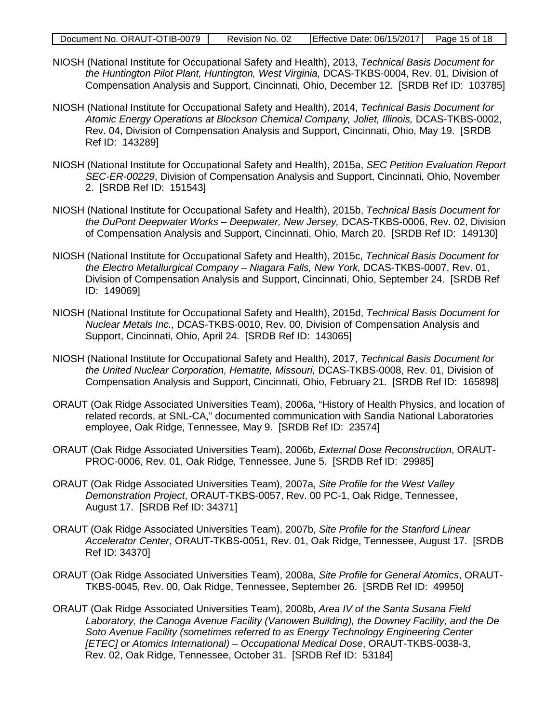|  | Document No. ORAUT-OTIB-0079 | Revision No. 02 | Effective Date: 06/15/2017 | Page 15 of 18 |
|--|------------------------------|-----------------|----------------------------|---------------|
|--|------------------------------|-----------------|----------------------------|---------------|

- NIOSH (National Institute for Occupational Safety and Health), 2013, *Technical Basis Document for the Huntington Pilot Plant, Huntington, West Virginia,* DCAS-TKBS-0004, Rev. 01, Division of Compensation Analysis and Support, Cincinnati, Ohio, December 12. [SRDB Ref ID: 103785]
- NIOSH (National Institute for Occupational Safety and Health), 2014, *Technical Basis Document for Atomic Energy Operations at Blockson Chemical Company, Joliet, Illinois,* DCAS-TKBS-0002, Rev. 04, Division of Compensation Analysis and Support, Cincinnati, Ohio, May 19. [SRDB Ref ID: 143289]
- NIOSH (National Institute for Occupational Safety and Health), 2015a, *SEC Petition Evaluation Report SEC-ER-00229*, Division of Compensation Analysis and Support, Cincinnati, Ohio, November 2. [SRDB Ref ID: 151543]
- NIOSH (National Institute for Occupational Safety and Health), 2015b, *Technical Basis Document for the DuPont Deepwater Works – Deepwater, New Jersey,* DCAS-TKBS-0006, Rev. 02, Division of Compensation Analysis and Support, Cincinnati, Ohio, March 20. [SRDB Ref ID: 149130]
- NIOSH (National Institute for Occupational Safety and Health), 2015c, *Technical Basis Document for the Electro Metallurgical Company – Niagara Falls, New York,* DCAS-TKBS-0007, Rev. 01, Division of Compensation Analysis and Support, Cincinnati, Ohio, September 24. [SRDB Ref ID: 149069]
- NIOSH (National Institute for Occupational Safety and Health), 2015d, *Technical Basis Document for Nuclear Metals Inc.,* DCAS-TKBS-0010, Rev. 00, Division of Compensation Analysis and Support, Cincinnati, Ohio, April 24. [SRDB Ref ID: 143065]
- NIOSH (National Institute for Occupational Safety and Health), 2017, *Technical Basis Document for the United Nuclear Corporation, Hematite, Missouri,* DCAS-TKBS-0008, Rev. 01, Division of Compensation Analysis and Support, Cincinnati, Ohio, February 21. [SRDB Ref ID: 165898]
- ORAUT (Oak Ridge Associated Universities Team), 2006a, "History of Health Physics, and location of related records, at SNL-CA," documented communication with Sandia National Laboratories employee, Oak Ridge, Tennessee, May 9. [SRDB Ref ID: 23574]
- ORAUT (Oak Ridge Associated Universities Team), 2006b, *External Dose Reconstruction*, ORAUT-PROC-0006, Rev. 01, Oak Ridge, Tennessee, June 5. [SRDB Ref ID: 29985]
- ORAUT (Oak Ridge Associated Universities Team), 2007a, *Site Profile for the West Valley Demonstration Project*, ORAUT-TKBS-0057, Rev. 00 PC-1, Oak Ridge, Tennessee, August 17. [SRDB Ref ID: 34371]
- ORAUT (Oak Ridge Associated Universities Team), 2007b, *Site Profile for the Stanford Linear Accelerator Center*, ORAUT-TKBS-0051, Rev. 01, Oak Ridge, Tennessee, August 17. [SRDB Ref ID: 34370]
- ORAUT (Oak Ridge Associated Universities Team), 2008a, *Site Profile for General Atomics*, ORAUT-TKBS-0045, Rev. 00, Oak Ridge, Tennessee, September 26. [SRDB Ref ID: 49950]
- ORAUT (Oak Ridge Associated Universities Team), 2008b, *Area IV of the Santa Susana Field Laboratory, the Canoga Avenue Facility (Vanowen Building), the Downey Facility, and the De Soto Avenue Facility (sometimes referred to as Energy Technology Engineering Center [ETEC] or Atomics International) – Occupational Medical Dose*, ORAUT-TKBS-0038-3, Rev. 02, Oak Ridge, Tennessee, October 31. [SRDB Ref ID: 53184]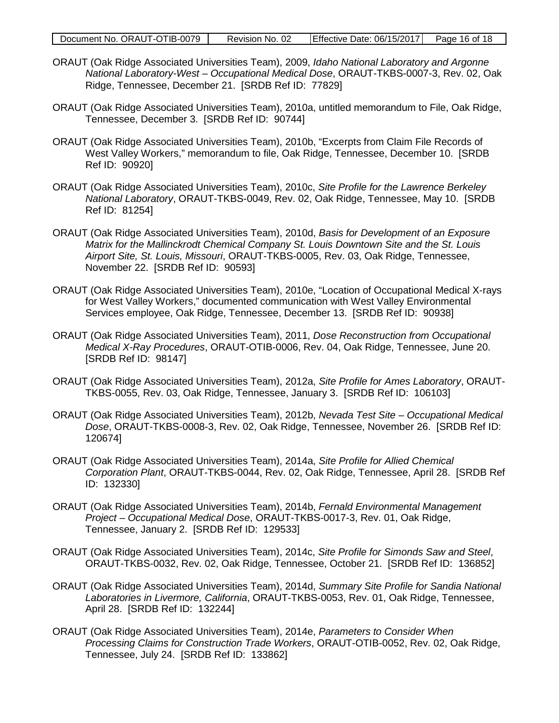|  | Document No. ORAUT-OTIB-0079 | Revision No. 02 | Effective Date: 06/15/2017 | Page 16 of 18 |
|--|------------------------------|-----------------|----------------------------|---------------|
|--|------------------------------|-----------------|----------------------------|---------------|

- ORAUT (Oak Ridge Associated Universities Team), 2009, *Idaho National Laboratory and Argonne National Laboratory-West – Occupational Medical Dose*, ORAUT-TKBS-0007-3, Rev. 02, Oak Ridge, Tennessee, December 21. [SRDB Ref ID: 77829]
- ORAUT (Oak Ridge Associated Universities Team), 2010a, untitled memorandum to File, Oak Ridge, Tennessee, December 3. [SRDB Ref ID: 90744]
- ORAUT (Oak Ridge Associated Universities Team), 2010b, "Excerpts from Claim File Records of West Valley Workers," memorandum to file, Oak Ridge, Tennessee, December 10. [SRDB Ref ID: 90920]
- ORAUT (Oak Ridge Associated Universities Team), 2010c, *Site Profile for the Lawrence Berkeley National Laboratory*, ORAUT-TKBS-0049, Rev. 02, Oak Ridge, Tennessee, May 10. [SRDB Ref ID: 81254]
- ORAUT (Oak Ridge Associated Universities Team), 2010d, *Basis for Development of an Exposure Matrix for the Mallinckrodt Chemical Company St. Louis Downtown Site and the St. Louis Airport Site, St. Louis, Missouri*, ORAUT-TKBS-0005, Rev. 03, Oak Ridge, Tennessee, November 22. [SRDB Ref ID: 90593]
- ORAUT (Oak Ridge Associated Universities Team), 2010e, "Location of Occupational Medical X-rays for West Valley Workers," documented communication with West Valley Environmental Services employee, Oak Ridge, Tennessee, December 13. [SRDB Ref ID: 90938]
- ORAUT (Oak Ridge Associated Universities Team), 2011, *Dose Reconstruction from Occupational Medical X-Ray Procedures*, ORAUT-OTIB-0006, Rev. 04, Oak Ridge, Tennessee, June 20. [SRDB Ref ID: 98147]
- ORAUT (Oak Ridge Associated Universities Team), 2012a, *Site Profile for Ames Laboratory*, ORAUT-TKBS-0055, Rev. 03, Oak Ridge, Tennessee, January 3. [SRDB Ref ID: 106103]
- ORAUT (Oak Ridge Associated Universities Team), 2012b, *Nevada Test Site Occupational Medical Dose*, ORAUT-TKBS-0008-3, Rev. 02, Oak Ridge, Tennessee, November 26. [SRDB Ref ID: 120674]
- ORAUT (Oak Ridge Associated Universities Team), 2014a, *Site Profile for Allied Chemical Corporation Plant*, ORAUT-TKBS-0044, Rev. 02, Oak Ridge, Tennessee, April 28. [SRDB Ref ID: 132330]
- ORAUT (Oak Ridge Associated Universities Team), 2014b, *Fernald Environmental Management Project – Occupational Medical Dose*, ORAUT-TKBS-0017-3, Rev. 01, Oak Ridge, Tennessee, January 2. [SRDB Ref ID: 129533]
- ORAUT (Oak Ridge Associated Universities Team), 2014c, *Site Profile for Simonds Saw and Steel*, ORAUT-TKBS-0032, Rev. 02, Oak Ridge, Tennessee, October 21. [SRDB Ref ID: 136852]
- ORAUT (Oak Ridge Associated Universities Team), 2014d, *Summary Site Profile for Sandia National Laboratories in Livermore, California*, ORAUT-TKBS-0053, Rev. 01, Oak Ridge, Tennessee, April 28. [SRDB Ref ID: 132244]
- ORAUT (Oak Ridge Associated Universities Team), 2014e, *Parameters to Consider When Processing Claims for Construction Trade Workers*, ORAUT-OTIB-0052, Rev. 02, Oak Ridge, Tennessee, July 24. [SRDB Ref ID: 133862]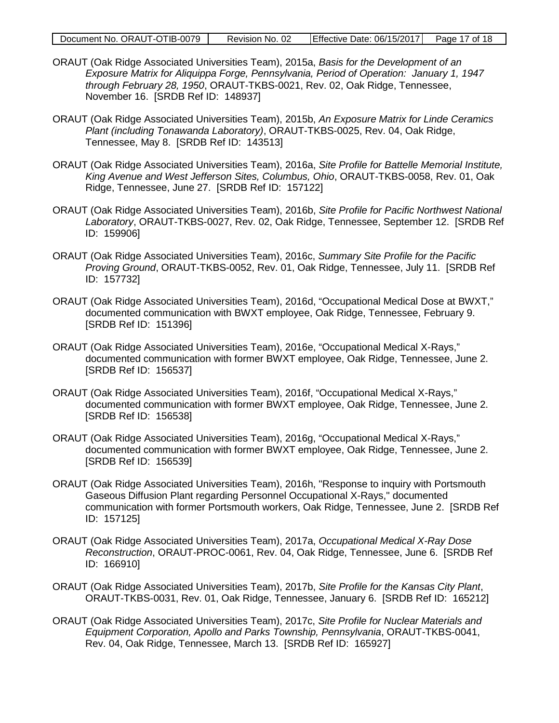- ORAUT (Oak Ridge Associated Universities Team), 2015a, *Basis for the Development of an Exposure Matrix for Aliquippa Forge, Pennsylvania, Period of Operation: January 1, 1947 through February 28, 1950*, ORAUT-TKBS-0021, Rev. 02, Oak Ridge, Tennessee, November 16. [SRDB Ref ID: 148937]
- ORAUT (Oak Ridge Associated Universities Team), 2015b, *An Exposure Matrix for Linde Ceramics Plant (including Tonawanda Laboratory)*, ORAUT-TKBS-0025, Rev. 04, Oak Ridge, Tennessee, May 8. [SRDB Ref ID: 143513]
- ORAUT (Oak Ridge Associated Universities Team), 2016a, *Site Profile for Battelle Memorial Institute, King Avenue and West Jefferson Sites, Columbus, Ohio*, ORAUT-TKBS-0058, Rev. 01, Oak Ridge, Tennessee, June 27. [SRDB Ref ID: 157122]
- ORAUT (Oak Ridge Associated Universities Team), 2016b, *Site Profile for Pacific Northwest National Laboratory*, ORAUT-TKBS-0027, Rev. 02, Oak Ridge, Tennessee, September 12. [SRDB Ref ID: 159906]
- ORAUT (Oak Ridge Associated Universities Team), 2016c, *Summary Site Profile for the Pacific Proving Ground*, ORAUT-TKBS-0052, Rev. 01, Oak Ridge, Tennessee, July 11. [SRDB Ref ID: 157732]
- ORAUT (Oak Ridge Associated Universities Team), 2016d, "Occupational Medical Dose at BWXT," documented communication with BWXT employee, Oak Ridge, Tennessee, February 9. [SRDB Ref ID: 151396]
- ORAUT (Oak Ridge Associated Universities Team), 2016e, "Occupational Medical X-Rays," documented communication with former BWXT employee, Oak Ridge, Tennessee, June 2. [SRDB Ref ID: 156537]
- ORAUT (Oak Ridge Associated Universities Team), 2016f, "Occupational Medical X-Rays," documented communication with former BWXT employee, Oak Ridge, Tennessee, June 2. [SRDB Ref ID: 156538]
- ORAUT (Oak Ridge Associated Universities Team), 2016g, "Occupational Medical X-Rays," documented communication with former BWXT employee, Oak Ridge, Tennessee, June 2. [SRDB Ref ID: 156539]
- ORAUT (Oak Ridge Associated Universities Team), 2016h, "Response to inquiry with Portsmouth Gaseous Diffusion Plant regarding Personnel Occupational X-Rays," documented communication with former Portsmouth workers, Oak Ridge, Tennessee, June 2. [SRDB Ref ID: 157125]
- ORAUT (Oak Ridge Associated Universities Team), 2017a, *Occupational Medical X-Ray Dose Reconstruction*, ORAUT-PROC-0061, Rev. 04, Oak Ridge, Tennessee, June 6. [SRDB Ref ID: 166910]
- ORAUT (Oak Ridge Associated Universities Team), 2017b, *Site Profile for the Kansas City Plant*, ORAUT-TKBS-0031, Rev. 01, Oak Ridge, Tennessee, January 6. [SRDB Ref ID: 165212]
- ORAUT (Oak Ridge Associated Universities Team), 2017c, *Site Profile for Nuclear Materials and Equipment Corporation, Apollo and Parks Township, Pennsylvania*, ORAUT-TKBS-0041, Rev. 04, Oak Ridge, Tennessee, March 13. [SRDB Ref ID: 165927]